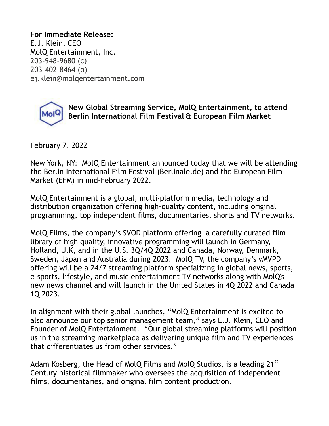**For Immediate Release:**  E.J. Klein, CEO MolQ Entertainment, Inc. 203-948-9680 (c) 203-402-8464 (o) [ej.klein@molqentertainment.com](mailto:ej.klein@molqentertainment.com)



**New Global Streaming Service, MolQ Entertainment, to attend Berlin International Film Festival & European Film Market** 

February 7, 2022

New York, NY: MolQ Entertainment announced today that we will be attending the Berlin International Film Festival (Berlinale.de) and the European Film Market (EFM) in mid-February 2022.

MolQ Entertainment is a global, multi-platform media, technology and distribution organization offering high-quality content, including original programming, top independent films, documentaries, shorts and TV networks.

MolQ Films, the company's SVOD platform offering a carefully curated film library of high quality, innovative programming will launch in Germany, Holland, U.K, and in the U.S. 3Q/4Q 2022 and Canada, Norway, Denmark, Sweden, Japan and Australia during 2023. MolQ TV, the company's vMVPD offering will be a 24/7 streaming platform specializing in global news, sports, e-sports, lifestyle, and music entertainment TV networks along with MolQ's new news channel and will launch in the United States in 4Q 2022 and Canada 1Q 2023.

In alignment with their global launches, "MolQ Entertainment is excited to also announce our top senior management team," says E.J. Klein, CEO and Founder of MolQ Entertainment. "Our global streaming platforms will position us in the streaming marketplace as delivering unique film and TV experiences that differentiates us from other services."

Adam Kosberg, the Head of MolQ Films and MolQ Studios, is a leading 21<sup>st</sup> Century historical filmmaker who oversees the acquisition of independent films, documentaries, and original film content production.